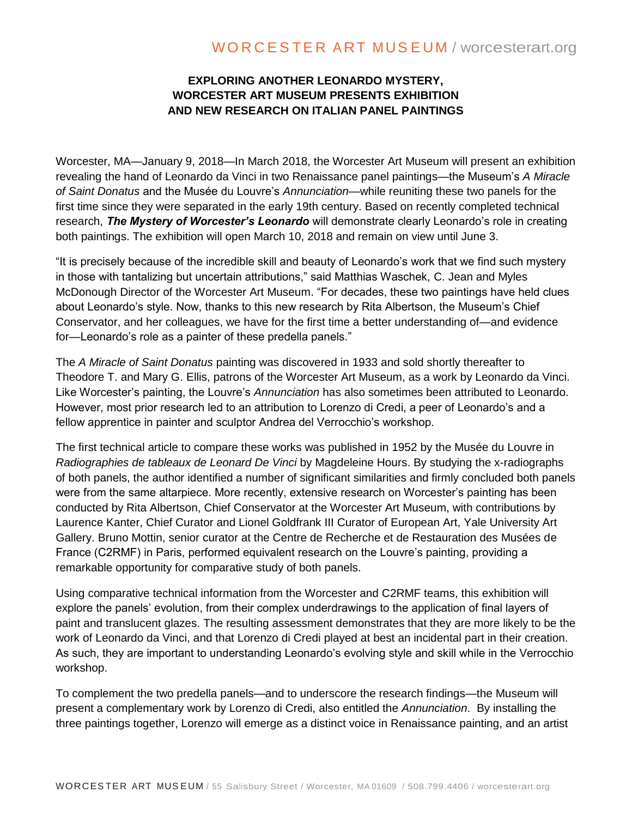## WORCESTER ART MUSEUM / worcesterart.org

### **EXPLORING ANOTHER LEONARDO MYSTERY, WORCESTER ART MUSEUM PRESENTS EXHIBITION AND NEW RESEARCH ON ITALIAN PANEL PAINTINGS**

Worcester, MA—January 9, 2018—In March 2018, the Worcester Art Museum will present an exhibition revealing the hand of Leonardo da Vinci in two Renaissance panel paintings—the Museum's *A Miracle of Saint Donatus* and the Musée du Louvre's *Annunciation*—while reuniting these two panels for the first time since they were separated in the early 19th century. Based on recently completed technical research, *The Mystery of Worcester's Leonardo* will demonstrate clearly Leonardo's role in creating both paintings. The exhibition will open March 10, 2018 and remain on view until June 3.

"It is precisely because of the incredible skill and beauty of Leonardo's work that we find such mystery in those with tantalizing but uncertain attributions," said Matthias Waschek, C. Jean and Myles McDonough Director of the Worcester Art Museum. "For decades, these two paintings have held clues about Leonardo's style. Now, thanks to this new research by Rita Albertson, the Museum's Chief Conservator, and her colleagues, we have for the first time a better understanding of—and evidence for—Leonardo's role as a painter of these predella panels."

The *A Miracle of Saint Donatus* painting was discovered in 1933 and sold shortly thereafter to Theodore T. and Mary G. Ellis, patrons of the Worcester Art Museum, as a work by Leonardo da Vinci. Like Worcester's painting, the Louvre's *Annunciation* has also sometimes been attributed to Leonardo. However, most prior research led to an attribution to Lorenzo di Credi, a peer of Leonardo's and a fellow apprentice in painter and sculptor Andrea del Verrocchio's workshop.

The first technical article to compare these works was published in 1952 by the Musée du Louvre in *Radiographies de tableaux de Leonard De Vinci* by Magdeleine Hours. By studying the x-radiographs of both panels, the author identified a number of significant similarities and firmly concluded both panels were from the same altarpiece. More recently, extensive research on Worcester's painting has been conducted by Rita Albertson, Chief Conservator at the Worcester Art Museum, with contributions by Laurence Kanter, Chief Curator and Lionel Goldfrank III Curator of European Art, Yale University Art Gallery. Bruno Mottin, senior curator at the Centre de Recherche et de Restauration des Musées de France (C2RMF) in Paris, performed equivalent research on the Louvre's painting, providing a remarkable opportunity for comparative study of both panels.

Using comparative technical information from the Worcester and C2RMF teams, this exhibition will explore the panels' evolution, from their complex underdrawings to the application of final layers of paint and translucent glazes. The resulting assessment demonstrates that they are more likely to be the work of Leonardo da Vinci, and that Lorenzo di Credi played at best an incidental part in their creation. As such, they are important to understanding Leonardo's evolving style and skill while in the Verrocchio workshop.

To complement the two predella panels—and to underscore the research findings—the Museum will present a complementary work by Lorenzo di Credi, also entitled the *Annunciation*. By installing the three paintings together, Lorenzo will emerge as a distinct voice in Renaissance painting, and an artist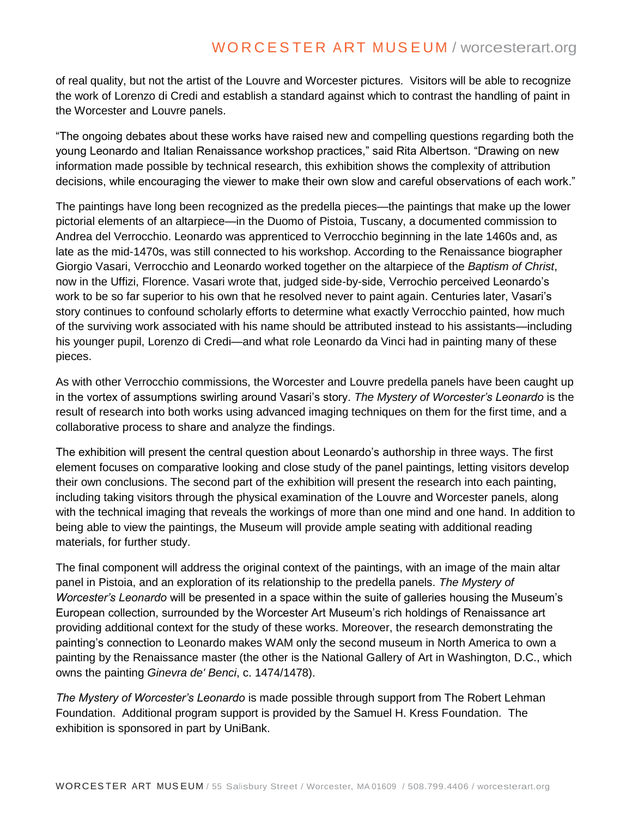## WORCESTER ART MUSEUM / worcesterart.org

of real quality, but not the artist of the Louvre and Worcester pictures. Visitors will be able to recognize the work of Lorenzo di Credi and establish a standard against which to contrast the handling of paint in the Worcester and Louvre panels.

"The ongoing debates about these works have raised new and compelling questions regarding both the young Leonardo and Italian Renaissance workshop practices," said Rita Albertson. "Drawing on new information made possible by technical research, this exhibition shows the complexity of attribution decisions, while encouraging the viewer to make their own slow and careful observations of each work."

The paintings have long been recognized as the predella pieces—the paintings that make up the lower pictorial elements of an altarpiece—in the Duomo of Pistoia, Tuscany, a documented commission to Andrea del Verrocchio. Leonardo was apprenticed to Verrocchio beginning in the late 1460s and, as late as the mid-1470s, was still connected to his workshop. According to the Renaissance biographer Giorgio Vasari, Verrocchio and Leonardo worked together on the altarpiece of the *Baptism of Christ*, now in the Uffizi, Florence. Vasari wrote that, judged side-by-side, Verrochio perceived Leonardo's work to be so far superior to his own that he resolved never to paint again. Centuries later, Vasari's story continues to confound scholarly efforts to determine what exactly Verrocchio painted, how much of the surviving work associated with his name should be attributed instead to his assistants—including his younger pupil, Lorenzo di Credi—and what role Leonardo da Vinci had in painting many of these pieces.

As with other Verrocchio commissions, the Worcester and Louvre predella panels have been caught up in the vortex of assumptions swirling around Vasari's story. *The Mystery of Worcester's Leonardo* is the result of research into both works using advanced imaging techniques on them for the first time, and a collaborative process to share and analyze the findings.

The exhibition will present the central question about Leonardo's authorship in three ways. The first element focuses on comparative looking and close study of the panel paintings, letting visitors develop their own conclusions. The second part of the exhibition will present the research into each painting, including taking visitors through the physical examination of the Louvre and Worcester panels, along with the technical imaging that reveals the workings of more than one mind and one hand. In addition to being able to view the paintings, the Museum will provide ample seating with additional reading materials, for further study.

The final component will address the original context of the paintings, with an image of the main altar panel in Pistoia, and an exploration of its relationship to the predella panels. *The Mystery of Worcester's Leonardo* will be presented in a space within the suite of galleries housing the Museum's European collection, surrounded by the Worcester Art Museum's rich holdings of Renaissance art providing additional context for the study of these works. Moreover, the research demonstrating the painting's connection to Leonardo makes WAM only the second museum in North America to own a painting by the Renaissance master (the other is the National Gallery of Art in Washington, D.C., which owns the painting *Ginevra de' Benci*, c. 1474/1478).

*The Mystery of Worcester's Leonardo* is made possible through support from The Robert Lehman Foundation. Additional program support is provided by the Samuel H. Kress Foundation. The exhibition is sponsored in part by UniBank.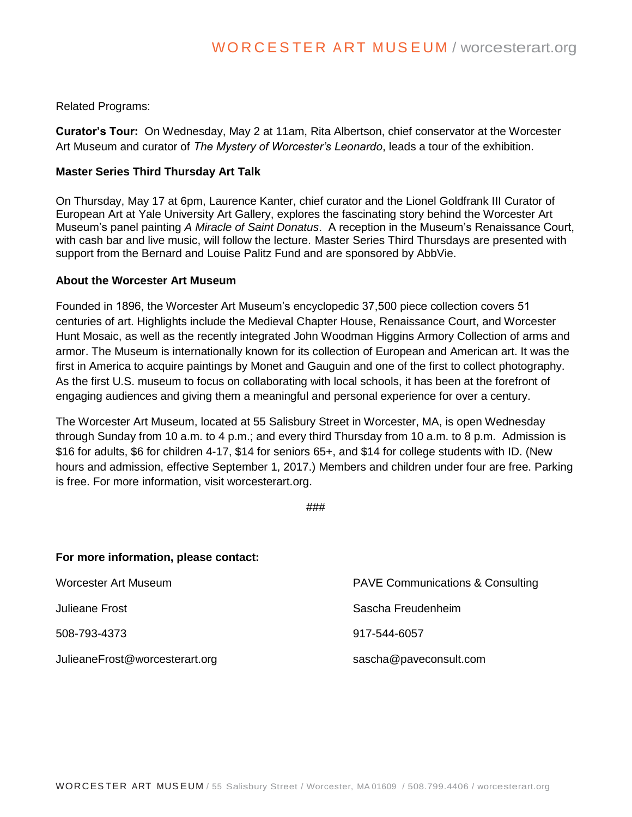Related Programs:

**Curator's Tour:** On Wednesday, May 2 at 11am, Rita Albertson, chief conservator at the Worcester Art Museum and curator of *The Mystery of Worcester's Leonardo*, leads a tour of the exhibition.

#### **Master Series Third Thursday Art Talk**

On Thursday, May 17 at 6pm, Laurence Kanter, chief curator and the Lionel Goldfrank III Curator of European Art at Yale University Art Gallery, explores the fascinating story behind the Worcester Art Museum's panel painting *A Miracle of Saint Donatus*. A reception in the Museum's Renaissance Court, with cash bar and live music, will follow the lecture. Master Series Third Thursdays are presented with support from the Bernard and Louise Palitz Fund and are sponsored by AbbVie.

#### **About the Worcester Art Museum**

Founded in 1896, the Worcester Art Museum's encyclopedic 37,500 piece collection covers 51 centuries of art. Highlights include the Medieval Chapter House, Renaissance Court, and Worcester Hunt Mosaic, as well as the recently integrated John Woodman Higgins Armory Collection of arms and armor. The Museum is internationally known for its collection of European and American art. It was the first in America to acquire paintings by Monet and Gauguin and one of the first to collect photography. As the first U.S. museum to focus on collaborating with local schools, it has been at the forefront of engaging audiences and giving them a meaningful and personal experience for over a century.

The Worcester Art Museum, located at 55 Salisbury Street in Worcester, MA, is open Wednesday through Sunday from 10 a.m. to 4 p.m.; and every third Thursday from 10 a.m. to 8 p.m. Admission is \$16 for adults, \$6 for children 4-17, \$14 for seniors 65+, and \$14 for college students with ID. (New hours and admission, effective September 1, 2017.) Members and children under four are free. Parking is free. For more information, visit worcesterart.org.

###

# **For more information, please contact:** Worcester Art Museum PAVE Communications & Consulting Julieane Frost Sascha Freudenheim 508-793-4373 917-544-6057

JulieaneFrost@worcesterart.org sascha@paveconsult.com